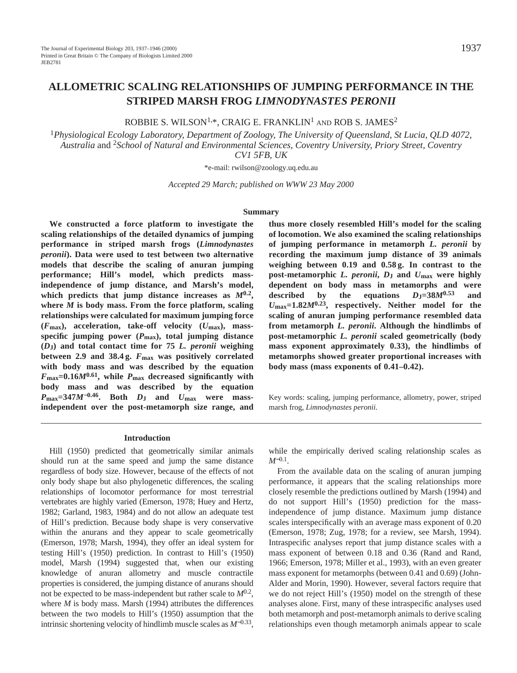ROBBIE S. WILSON<sup>1,\*</sup>, CRAIG E. FRANKLIN<sup>1</sup> AND ROB S. JAMES<sup>2</sup>

<sup>1</sup>*Physiological Ecology Laboratory, Department of Zoology, The University of Queensland, St Lucia, QLD 4072, Australia* and 2*School of Natural and Environmental Sciences, Coventry University, Priory Street, Coventry CV1 5FB, UK*

\*e-mail: rwilson@zoology.uq.edu.au

*Accepted 29 March; published on WWW 23 May 2000*

#### **Summary**

**We constructed a force platform to investigate the scaling relationships of the detailed dynamics of jumping performance in striped marsh frogs (***Limnodynastes peronii***). Data were used to test between two alternative models that describe the scaling of anuran jumping performance; Hill's model, which predicts massindependence of jump distance, and Marsh's model, which predicts that jump distance increases as** *M***0.2, where** *M* **is body mass. From the force platform, scaling relationships were calculated for maximum jumping force (***F***max), acceleration, take-off velocity (***U***max), massspecific jumping power (***P***max), total jumping distance (***D***J) and total contact time for 75** *L. peronii* **weighing between 2.9 and 38.4 g.** *F***max was positively correlated with body mass and was described by the equation** *F***max=0.16***M***0.61, while** *P***max decreased significantly with body mass and was described by the equation**  $P_{\text{max}} = 347M^{-0.46}$ . Both  $D_J$  and  $U_{\text{max}}$  were mass**independent over the post-metamorph size range, and**

**thus more closely resembled Hill's model for the scaling of locomotion. We also examined the scaling relationships of jumping performance in metamorph** *L. peronii* **by recording the maximum jump distance of 39 animals weighing between 0.19 and 0.58 g. In contrast to the post-metamorphic** *L. peronii***,** *D***J and** *U***max were highly dependent on body mass in metamorphs and were described by the equations** *D***J=38***M***0.53 and** *U***max=1.82***M***0.23, respectively. Neither model for the scaling of anuran jumping performance resembled data from metamorph** *L. peronii***. Although the hindlimbs of post-metamorphic** *L. peronii* **scaled geometrically (body mass exponent approximately 0.33), the hindlimbs of metamorphs showed greater proportional increases with body mass (mass exponents of 0.41–0.42).**

Key words: scaling, jumping performance, allometry, power, striped marsh frog, *Limnodynastes peronii.*

#### **Introduction**

Hill (1950) predicted that geometrically similar animals should run at the same speed and jump the same distance regardless of body size. However, because of the effects of not only body shape but also phylogenetic differences, the scaling relationships of locomotor performance for most terrestrial vertebrates are highly varied (Emerson, 1978; Huey and Hertz, 1982; Garland, 1983, 1984) and do not allow an adequate test of Hill's prediction. Because body shape is very conservative within the anurans and they appear to scale geometrically (Emerson, 1978; Marsh, 1994), they offer an ideal system for testing Hill's (1950) prediction. In contrast to Hill's (1950) model, Marsh (1994) suggested that, when our existing knowledge of anuran allometry and muscle contractile properties is considered, the jumping distance of anurans should not be expected to be mass-independent but rather scale to *M*0.2, where *M* is body mass. Marsh (1994) attributes the differences between the two models to Hill's (1950) assumption that the intrinsic shortening velocity of hindlimb muscle scales as *M*<sup>−</sup>0.33,

while the empirically derived scaling relationship scales as *M*<sup>−0.1</sup>.

From the available data on the scaling of anuran jumping performance, it appears that the scaling relationships more closely resemble the predictions outlined by Marsh (1994) and do not support Hill's (1950) prediction for the massindependence of jump distance. Maximum jump distance scales interspecifically with an average mass exponent of 0.20 (Emerson, 1978; Zug, 1978; for a review, see Marsh, 1994). Intraspecific analyses report that jump distance scales with a mass exponent of between 0.18 and 0.36 (Rand and Rand, 1966; Emerson, 1978; Miller et al., 1993), with an even greater mass exponent for metamorphs (between 0.41 and 0.69) (John-Alder and Morin, 1990). However, several factors require that we do not reject Hill's (1950) model on the strength of these analyses alone. First, many of these intraspecific analyses used both metamorph and post-metamorph animals to derive scaling relationships even though metamorph animals appear to scale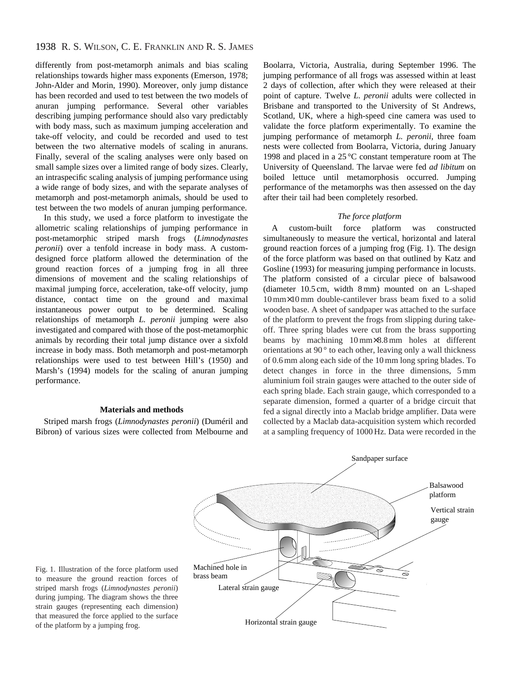# 1938 R. S. WILSON, C. E. FRANKLIN AND R. S. JAMES

differently from post-metamorph animals and bias scaling relationships towards higher mass exponents (Emerson, 1978; John-Alder and Morin, 1990). Moreover, only jump distance has been recorded and used to test between the two models of anuran jumping performance. Several other variables describing jumping performance should also vary predictably with body mass, such as maximum jumping acceleration and take-off velocity, and could be recorded and used to test between the two alternative models of scaling in anurans. Finally, several of the scaling analyses were only based on small sample sizes over a limited range of body sizes. Clearly, an intraspecific scaling analysis of jumping performance using a wide range of body sizes, and with the separate analyses of metamorph and post-metamorph animals, should be used to test between the two models of anuran jumping performance.

In this study, we used a force platform to investigate the allometric scaling relationships of jumping performance in post-metamorphic striped marsh frogs (*Limnodynastes peronii*) over a tenfold increase in body mass. A customdesigned force platform allowed the determination of the ground reaction forces of a jumping frog in all three dimensions of movement and the scaling relationships of maximal jumping force, acceleration, take-off velocity, jump distance, contact time on the ground and maximal instantaneous power output to be determined. Scaling relationships of metamorph *L. peronii* jumping were also investigated and compared with those of the post-metamorphic animals by recording their total jump distance over a sixfold increase in body mass. Both metamorph and post-metamorph relationships were used to test between Hill's (1950) and Marsh's (1994) models for the scaling of anuran jumping performance.

### **Materials and methods**

Striped marsh frogs (*Limnodynastes peronii*) (Duméril and Bibron) of various sizes were collected from Melbourne and Boolarra, Victoria, Australia, during September 1996. The jumping performance of all frogs was assessed within at least 2 days of collection, after which they were released at their point of capture. Twelve *L. peronii* adults were collected in Brisbane and transported to the University of St Andrews, Scotland, UK, where a high-speed cine camera was used to validate the force platform experimentally. To examine the jumping performance of metamorph *L. peronii*, three foam nests were collected from Boolarra, Victoria, during January 1998 and placed in a 25 °C constant temperature room at The University of Queensland. The larvae were fed *ad libitum* on boiled lettuce until metamorphosis occurred. Jumping performance of the metamorphs was then assessed on the day after their tail had been completely resorbed.

## *The force platform*

A custom-built force platform was constructed simultaneously to measure the vertical, horizontal and lateral ground reaction forces of a jumping frog (Fig. 1). The design of the force platform was based on that outlined by Katz and Gosline (1993) for measuring jumping performance in locusts. The platform consisted of a circular piece of balsawood (diameter 10.5 cm, width 8 mm) mounted on an L-shaped 10 mm×10 mm double-cantilever brass beam fixed to a solid wooden base. A sheet of sandpaper was attached to the surface of the platform to prevent the frogs from slipping during takeoff. Three spring blades were cut from the brass supporting beams by machining 10 mm×8.8 mm holes at different orientations at 90 ° to each other, leaving only a wall thickness of 0.6 mm along each side of the 10 mm long spring blades. To detect changes in force in the three dimensions, 5 mm aluminium foil strain gauges were attached to the outer side of each spring blade. Each strain gauge, which corresponded to a separate dimension, formed a quarter of a bridge circuit that fed a signal directly into a Maclab bridge amplifier. Data were collected by a Maclab data-acquisition system which recorded at a sampling frequency of 1000 Hz. Data were recorded in the



Fig. 1. Illustration of the force platform used Machined h<br>the measure the ground reastion forces of brass beam to measure the ground reaction forces of striped marsh frogs (*Limnodynastes peronii*) during jumping. The diagram shows the three strain gauges (representing each dimension) that measured the force applied to the surface of the platform by a jumping frog.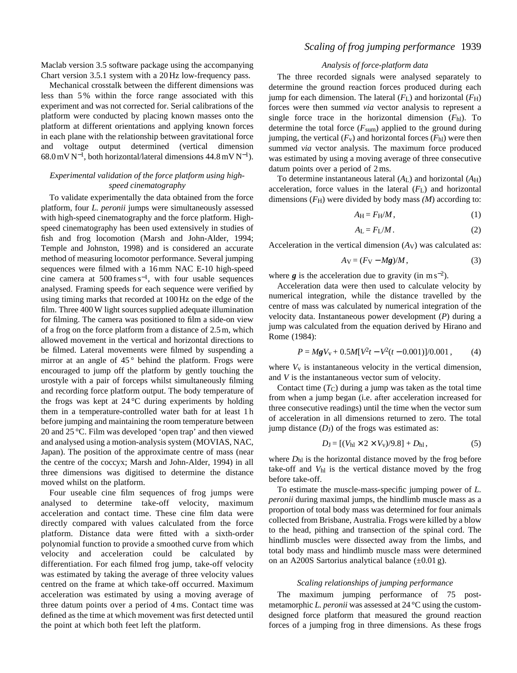Maclab version 3.5 software package using the accompanying Chart version 3.5.1 system with a 20 Hz low-frequency pass.

Mechanical crosstalk between the different dimensions was less than 5 % within the force range associated with this experiment and was not corrected for. Serial calibrations of the platform were conducted by placing known masses onto the platform at different orientations and applying known forces in each plane with the relationship between gravitational force and voltage output determined (vertical dimension 68.0 mV N<sup>−</sup>1, both horizontal/lateral dimensions 44.8 mV N−1).

## *Experimental validation of the force platform using highspeed cinematography*

To validate experimentally the data obtained from the force platform, four *L. peronii* jumps were simultaneously assessed with high-speed cinematography and the force platform. Highspeed cinematography has been used extensively in studies of fish and frog locomotion (Marsh and John-Alder, 1994; Temple and Johnston, 1998) and is considered an accurate method of measuring locomotor performance. Several jumping sequences were filmed with a 16 mm NAC E-10 high-speed cine camera at 500 frames s<sup>−</sup>1, with four usable sequences analysed. Framing speeds for each sequence were verified by using timing marks that recorded at 100 Hz on the edge of the film. Three 400 W light sources supplied adequate illumination for filming. The camera was positioned to film a side-on view of a frog on the force platform from a distance of 2.5 m, which allowed movement in the vertical and horizontal directions to be filmed. Lateral movements were filmed by suspending a mirror at an angle of  $45^{\circ}$  behind the platform. Frogs were encouraged to jump off the platform by gently touching the urostyle with a pair of forceps whilst simultaneously filming and recording force platform output. The body temperature of the frogs was kept at  $24^{\circ}$ C during experiments by holding them in a temperature-controlled water bath for at least 1 h before jumping and maintaining the room temperature between 20 and 25 °C. Film was developed 'open trap' and then viewed and analysed using a motion-analysis system (MOVIAS, NAC, Japan). The position of the approximate centre of mass (near the centre of the coccyx; Marsh and John-Alder, 1994) in all three dimensions was digitised to determine the distance moved whilst on the platform.

Four useable cine film sequences of frog jumps were analysed to determine take-off velocity, maximum acceleration and contact time. These cine film data were directly compared with values calculated from the force platform. Distance data were fitted with a sixth-order polynomial function to provide a smoothed curve from which velocity and acceleration could be calculated by differentiation. For each filmed frog jump, take-off velocity was estimated by taking the average of three velocity values centred on the frame at which take-off occurred. Maximum acceleration was estimated by using a moving average of three datum points over a period of 4 ms. Contact time was defined as the time at which movement was first detected until the point at which both feet left the platform.

# *Scaling of frog jumping performance* 1939

### *Analysis of force-platform data*

The three recorded signals were analysed separately to determine the ground reaction forces produced during each jump for each dimension. The lateral  $(F<sub>L</sub>)$  and horizontal  $(F<sub>H</sub>)$ forces were then summed *via* vector analysis to represent a single force trace in the horizontal dimension  $(F<sub>hl</sub>)$ . To determine the total force  $(F_{sum})$  applied to the ground during jumping, the vertical  $(F_v)$  and horizontal forces  $(F_{hl})$  were then summed *via* vector analysis. The maximum force produced was estimated by using a moving average of three consecutive datum points over a period of 2 ms.

To determine instantaneous lateral (*A*L) and horizontal (*A*H) acceleration, force values in the lateral (*F*L) and horizontal dimensions (*F*H) were divided by body mass *(M*) according to:

$$
A_{\rm H} = F_{\rm H}/M\,,\tag{1}
$$

$$
A_{\rm L} = F_{\rm L}/M\,. \tag{2}
$$

Acceleration in the vertical dimension  $(Av)$  was calculated as:

$$
A_V = (F_V - Mg)/M, \tag{3}
$$

where  $g$  is the acceleration due to gravity (in m s<sup>-2</sup>).

Acceleration data were then used to calculate velocity by numerical integration, while the distance travelled by the centre of mass was calculated by numerical integration of the velocity data. Instantaneous power development (*P*) during a jump was calculated from the equation derived by Hirano and Rome (1984):

$$
P = MgV_{\rm v} + 0.5M[V^2t - V^2(t - 0.001)]/0.001\,,\tag{4}
$$

where  $V_v$  is instantaneous velocity in the vertical dimension, and *V* is the instantaneous vector sum of velocity.

Contact time  $(T_C)$  during a jump was taken as the total time from when a jump began (i.e. after acceleration increased for three consecutive readings) until the time when the vector sum of acceleration in all dimensions returned to zero. The total jump distance  $(D_J)$  of the frogs was estimated as:

$$
D_J = [(V_{hl} \times 2 \times V_{v})/9.8] + D_{hl}, \qquad (5)
$$

where  $D<sub>hl</sub>$  is the horizontal distance moved by the frog before take-off and *V*hl is the vertical distance moved by the frog before take-off.

To estimate the muscle-mass-specific jumping power of *L. peronii* during maximal jumps, the hindlimb muscle mass as a proportion of total body mass was determined for four animals collected from Brisbane, Australia. Frogs were killed by a blow to the head, pithing and transection of the spinal cord. The hindlimb muscles were dissected away from the limbs, and total body mass and hindlimb muscle mass were determined on an A200S Sartorius analytical balance  $(\pm 0.01 \text{ g})$ .

#### *Scaling relationships of jumping performance*

The maximum jumping performance of 75 postmetamorphic *L. peronii* was assessed at 24 °C using the customdesigned force platform that measured the ground reaction forces of a jumping frog in three dimensions. As these frogs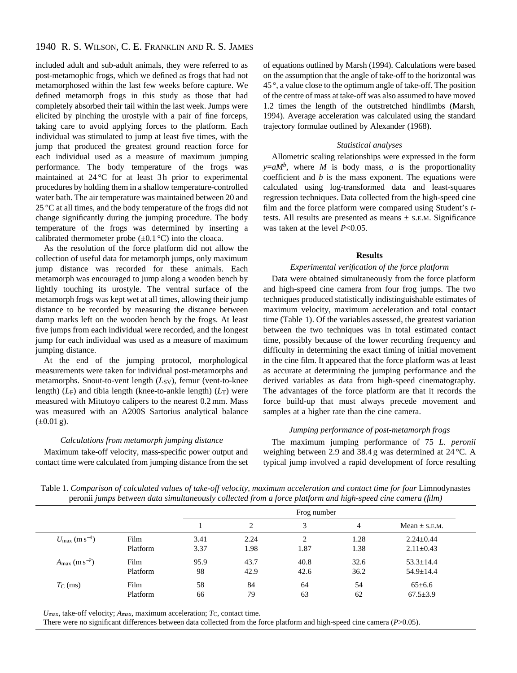# 1940 R. S. WILSON, C. E. FRANKLIN AND R. S. JAMES

included adult and sub-adult animals, they were referred to as post-metamophic frogs, which we defined as frogs that had not metamorphosed within the last few weeks before capture. We defined metamorph frogs in this study as those that had completely absorbed their tail within the last week. Jumps were elicited by pinching the urostyle with a pair of fine forceps, taking care to avoid applying forces to the platform. Each individual was stimulated to jump at least five times, with the jump that produced the greatest ground reaction force for each individual used as a measure of maximum jumping performance. The body temperature of the frogs was maintained at  $24^{\circ}$ C for at least 3h prior to experimental procedures by holding them in a shallow temperature-controlled water bath. The air temperature was maintained between 20 and 25 °C at all times, and the body temperature of the frogs did not change significantly during the jumping procedure. The body temperature of the frogs was determined by inserting a calibrated thermometer probe  $(\pm 0.1^{\circ}C)$  into the cloaca.

As the resolution of the force platform did not allow the collection of useful data for metamorph jumps, only maximum jump distance was recorded for these animals. Each metamorph was encouraged to jump along a wooden bench by lightly touching its urostyle. The ventral surface of the metamorph frogs was kept wet at all times, allowing their jump distance to be recorded by measuring the distance between damp marks left on the wooden bench by the frogs. At least five jumps from each individual were recorded, and the longest jump for each individual was used as a measure of maximum jumping distance.

At the end of the jumping protocol, morphological measurements were taken for individual post-metamorphs and metamorphs. Snout-to-vent length (*L*<sub>SV</sub>), femur (vent-to-knee length) (*L*F) and tibia length (knee-to-ankle length) (*L*T) were measured with Mitutoyo calipers to the nearest 0.2 mm. Mass was measured with an A200S Sartorius analytical balance  $(\pm 0.01 \text{ g})$ .

## *Calculations from metamorph jumping distance*

Maximum take-off velocity, mass-specific power output and contact time were calculated from jumping distance from the set of equations outlined by Marsh (1994). Calculations were based on the assumption that the angle of take-off to the horizontal was 45 °, a value close to the optimum angle of take-off. The position of the centre of mass at take-off was also assumed to have moved 1.2 times the length of the outstretched hindlimbs (Marsh, 1994). Average acceleration was calculated using the standard trajectory formulae outlined by Alexander (1968).

#### *Statistical analyses*

Allometric scaling relationships were expressed in the form  $y=aM<sup>b</sup>$ , where *M* is body mass, *a* is the proportionality coefficient and *b* is the mass exponent. The equations were calculated using log-transformed data and least-squares regression techniques. Data collected from the high-speed cine film and the force platform were compared using Student's *t*tests. All results are presented as means  $\pm$  s.E.M. Significance was taken at the level *P*<0.05.

## **Results**

## *Experimental verification of the force platform*

Data were obtained simultaneously from the force platform and high-speed cine camera from four frog jumps. The two techniques produced statistically indistinguishable estimates of maximum velocity, maximum acceleration and total contact time (Table 1). Of the variables assessed, the greatest variation between the two techniques was in total estimated contact time, possibly because of the lower recording frequency and difficulty in determining the exact timing of initial movement in the cine film. It appeared that the force platform was at least as accurate at determining the jumping performance and the derived variables as data from high-speed cinematography. The advantages of the force platform are that it records the force build-up that must always precede movement and samples at a higher rate than the cine camera.

### *Jumping performance of post-metamorph frogs*

The maximum jumping performance of 75 *L. peronii* weighing between 2.9 and 38.4 g was determined at 24 °C. A typical jump involved a rapid development of force resulting

Table 1. Comparison of calculated values of take-off velocity, maximum acceleration and contact time for four Limnodynastes peronii *jumps between data simultaneously collected from a force platform and high-speed cine camera (film)*

|                                    |          |      | Frog number |                |      |                   |  |
|------------------------------------|----------|------|-------------|----------------|------|-------------------|--|
|                                    |          |      | 2           | 3              | 4    | Mean $\pm$ S.E.M. |  |
| $U_{\rm max}$ (m s <sup>-1</sup> ) | Film     | 3.41 | 2.24        | $\overline{c}$ | 1.28 | $2.24 + 0.44$     |  |
|                                    | Platform | 3.37 | 1.98        | 1.87           | 1.38 | $2.11 \pm 0.43$   |  |
| $A_{\rm max}$ (m s <sup>-2</sup> ) | Film     | 95.9 | 43.7        | 40.8           | 32.6 | $53.3 \pm 14.4$   |  |
|                                    | Platform | 98   | 42.9        | 42.6           | 36.2 | $54.9 \pm 14.4$   |  |
| $T_{\rm C}$ (ms)                   | Film     | 58   | 84          | 64             | 54   | $65 \pm 6.6$      |  |
|                                    | Platform | 66   | 79          | 63             | 62   | $67.5 \pm 3.9$    |  |

 $U_{\text{max}}$ , take-off velocity;  $A_{\text{max}}$ , maximum acceleration;  $T_{\text{C}}$ , contact time.

There were no significant differences between data collected from the force platform and high-speed cine camera (*P*>0.05).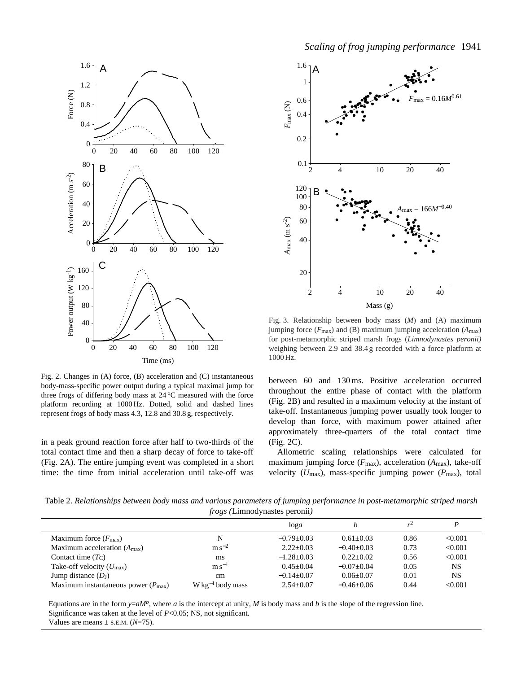



Fig. 2. Changes in (A) force, (B) acceleration and (C) instantaneous body-mass-specific power output during a typical maximal jump for three frogs of differing body mass at 24 °C measured with the force platform recording at 1000 Hz. Dotted, solid and dashed lines represent frogs of body mass 4.3, 12.8 and 30.8 g, respectively.

in a peak ground reaction force after half to two-thirds of the total contact time and then a sharp decay of force to take-off (Fig. 2A). The entire jumping event was completed in a short time: the time from initial acceleration until take-off was



Fig. 3. Relationship between body mass (*M*) and (A) maximum jumping force (*F*max) and (B) maximum jumping acceleration (*A*max) for post-metamorphic striped marsh frogs (*Limnodynastes peronii)* weighing between 2.9 and 38.4 g recorded with a force platform at 1000 Hz.

between 60 and 130 ms. Positive acceleration occurred throughout the entire phase of contact with the platform (Fig. 2B) and resulted in a maximum velocity at the instant of take-off. Instantaneous jumping power usually took longer to develop than force, with maximum power attained after approximately three-quarters of the total contact time (Fig. 2C).

Allometric scaling relationships were calculated for maximum jumping force (*F*max), acceleration (*A*max), take-off velocity (*U*max), mass-specific jumping power (*P*max), total

Table 2. *Relationships between body mass and various parameters of jumping performance in post-metamorphic striped marsh frogs (*Limnodynastes peronii*)* 

|                                                |                               | log a          |               | v    |           |  |
|------------------------------------------------|-------------------------------|----------------|---------------|------|-----------|--|
| Maximum force $(F_{\text{max}})$               | N                             | $-0.79 + 0.03$ | $0.61 + 0.03$ | 0.86 | < 0.001   |  |
| Maximum acceleration $(A_{\text{max}})$        | $\rm m\,s^{-2}$               | $2.22+0.03$    | $-0.40+0.03$  | 0.73 | < 0.001   |  |
| Contact time $(T_C)$                           | ms                            | $-1.28+0.03$   | $0.22+0.02$   | 0.56 | < 0.001   |  |
| Take-off velocity $(U_{\text{max}})$           | $\rm m\,s^{-1}$               | $0.45+0.04$    | $-0.07+0.04$  | 0.05 | NS        |  |
| Jump distance $(D_I)$                          | cm                            | $-0.14+0.07$   | $0.06 + 0.07$ | 0.01 | <b>NS</b> |  |
| Maximum instantaneous power $(P_{\text{max}})$ | $W \text{ kg}^{-1}$ body mass | $2.54+0.07$    | $-0.46+0.06$  | 0.44 | < 0.001   |  |
|                                                |                               |                |               |      |           |  |

Equations are in the form  $y=aM^b$ , where *a* is the intercept at unity, *M* is body mass and *b* is the slope of the regression line. Significance was taken at the level of *P*<0.05; NS, not significant. Values are means  $\pm$  s.E.M. ( $N=75$ ).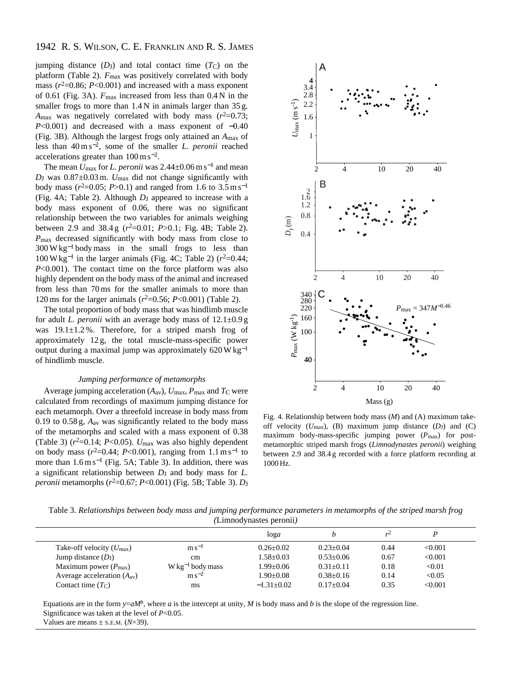# 1942 R. S. WILSON, C. E. FRANKLIN AND R. S. JAMES

jumping distance  $(D_J)$  and total contact time  $(T_C)$  on the platform (Table 2).  $F_{\text{max}}$  was positively correlated with body mass  $(r^2=0.86; P<0.001)$  and increased with a mass exponent of 0.61 (Fig. 3A). *F*max increased from less than 0.4 N in the smaller frogs to more than  $1.4$  N in animals larger than  $35$  g.  $A_{\text{max}}$  was negatively correlated with body mass  $(r^2=0.73)$ ; *P*<0.001) and decreased with a mass exponent of −0.40 (Fig. 3B). Although the largest frogs only attained an *A*max of less than 40 m s<sup>−</sup>2, some of the smaller *L. peronii* reached accelerations greater than 100 m s<sup>−</sup>2.

The mean  $U_{\text{max}}$  for *L. peronii* was 2.44±0.06 m s<sup>-1</sup> and mean  $D_J$  was  $0.87 \pm 0.03$  m.  $U_{\text{max}}$  did not change significantly with body mass ( $r^2$ =0.05; *P*>0.1) and ranged from 1.6 to 3.5 m s<sup>-1</sup> (Fig. 4A; Table 2). Although *D*J appeared to increase with a body mass exponent of 0.06, there was no significant relationship between the two variables for animals weighing between 2.9 and 38.4 g ( $r^2$ =0.01; *P*>0.1; Fig. 4B; Table 2). *P*max decreased significantly with body mass from close to 300 W kg−<sup>1</sup> body mass in the small frogs to less than  $100 \text{ W kg}^{-1}$  in the larger animals (Fig. 4C; Table 2)  $(r^2=0.44;$ *P*<0.001). The contact time on the force platform was also highly dependent on the body mass of the animal and increased from less than 70 ms for the smaller animals to more than 120 ms for the larger animals  $(r^2=0.56; P<0.001)$  (Table 2).

The total proportion of body mass that was hindlimb muscle for adult *L. peronii* with an average body mass of 12.1±0.9 g was  $19.1 \pm 1.2$ %. Therefore, for a striped marsh frog of approximately 12 g, the total muscle-mass-specific power output during a maximal jump was approximately 620 W kg−<sup>1</sup> of hindlimb muscle.

### *Jumping performance of metamorphs*

Average jumping acceleration  $(A_{av})$ ,  $U_{max}$ ,  $P_{max}$  and  $T_{\rm C}$  were calculated from recordings of maximum jumping distance for each metamorph. Over a threefold increase in body mass from 0.19 to 0.58 g, *A*av was significantly related to the body mass of the metamorphs and scaled with a mass exponent of 0.38 (Table 3)  $(r^2=0.14; P<0.05)$ .  $U_{\text{max}}$  was also highly dependent on body mass  $(r^2=0.44; P<0.001)$ , ranging from 1.1 m s<sup>-1</sup> to more than  $1.6 \text{ m s}^{-1}$  (Fig. 5A; Table 3). In addition, there was a significant relationship between *D*<sub>J</sub> and body mass for *L*. *peronii* metamorphs ( $r^2$ =0.67; *P*<0.001) (Fig. 5B; Table 3). *D*<sub>J</sub>



Fig. 4. Relationship between body mass (*M*) and (A) maximum takeoff velocity  $(U_{\text{max}})$ , (B) maximum jump distance  $(D_J)$  and  $(C)$ maximum body-mass-specific jumping power  $(P_{\text{max}})$  for postmetamorphic striped marsh frogs (*Limnodynastes peronii*) weighing between 2.9 and 38.4 g recorded with a force platform recording at 1000 Hz.

Table 3. *Relationships between body mass and jumping performance parameters in metamorphs of the striped marsh frog (*Limnodynastes peronii*)*

|                                      |                               | log a          |                 | v    |         |  |
|--------------------------------------|-------------------------------|----------------|-----------------|------|---------|--|
| Take-off velocity $(U_{\text{max}})$ | $\rm m\,s^{-1}$               | $0.26 + 0.02$  | $0.23 \pm 0.04$ | 0.44 | < 0.001 |  |
| Jump distance $(D_J)$                | cm.                           | $1.58 + 0.03$  | $0.53+0.06$     | 0.67 | < 0.001 |  |
| Maximum power $(P_{\text{max}})$     | $W \text{ kg}^{-1}$ body mass | $1.99 + 0.06$  | $0.31 \pm 0.11$ | 0.18 | < 0.01  |  |
| Average acceleration $(A_{av})$      | $\rm m\,s^{-2}$               | $1.90+0.08$    | $0.38 \pm 0.16$ | 0.14 | < 0.05  |  |
| Contact time $(T_C)$                 | ms                            | $-1.31 + 0.02$ | $0.17+0.04$     | 0.35 | < 0.001 |  |

Equations are in the form  $y=aM^b$ , where *a* is the intercept at unity, *M* is body mass and *b* is the slope of the regression line. Significance was taken at the level of *P*<0.05.

Values are means  $\pm$  s.e.m. ( $N=39$ ).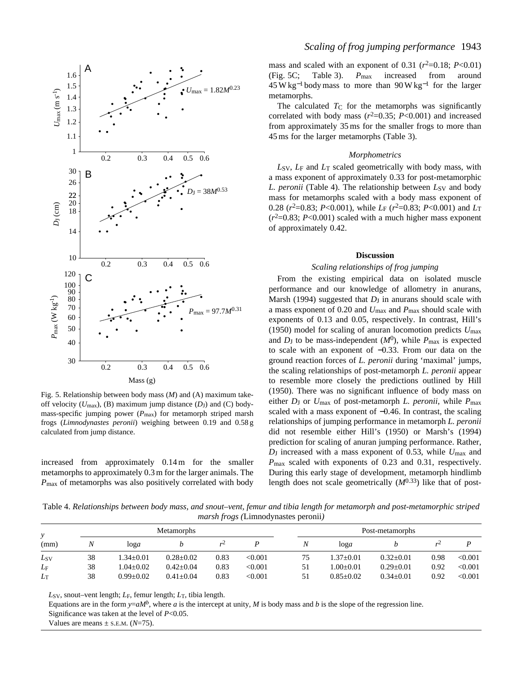

Fig. 5. Relationship between body mass (*M*) and (A) maximum takeoff velocity  $(U_{\text{max}})$ , (B) maximum jump distance  $(D_J)$  and  $(C)$  bodymass-specific jumping power  $(P_{\text{max}})$  for metamorph striped marsh frogs (*Limnodynastes peronii*) weighing between 0.19 and 0.58 g calculated from jump distance.

increased from approximately 0.14 m for the smaller metamorphs to approximately 0.3 m for the larger animals. The *P*max of metamorphs was also positively correlated with body

mass and scaled with an exponent of 0.31  $(r^2=0.18; P<0.01)$ (Fig. 5C; Table 3). *P*max increased from around  $45 W kg<sup>-1</sup>$  body mass to more than 90 W kg<sup>-1</sup> for the larger metamorphs.

The calculated  $T_C$  for the metamorphs was significantly correlated with body mass  $(r^2=0.35; P<0.001)$  and increased from approximately 35 ms for the smaller frogs to more than 45 ms for the larger metamorphs (Table 3).

#### *Morphometrics*

*L*SV, *L*F and *L*T scaled geometrically with body mass, with a mass exponent of approximately 0.33 for post-metamorphic *L. peronii* (Table 4). The relationship between *L*<sub>SV</sub> and body mass for metamorphs scaled with a body mass exponent of 0.28 ( $r^2$ =0.83; *P*<0.001), while *L*<sub>F</sub> ( $r^2$ =0.83; *P*<0.001) and *L*<sub>T</sub>  $(r^2=0.83; P<0.001)$  scaled with a much higher mass exponent of approximately 0.42.

#### **Discussion**

### *Scaling relationships of frog jumping*

From the existing empirical data on isolated muscle performance and our knowledge of allometry in anurans, Marsh (1994) suggested that  $D_J$  in anurans should scale with a mass exponent of 0.20 and *U*max and *P*max should scale with exponents of 0.13 and 0.05, respectively. In contrast, Hill's (1950) model for scaling of anuran locomotion predicts *U*max and  $D_J$  to be mass-independent  $(M^0)$ , while  $P_{\text{max}}$  is expected to scale with an exponent of −0.33. From our data on the ground reaction forces of *L. peronii* during 'maximal' jumps, the scaling relationships of post-metamorph *L. peronii* appear to resemble more closely the predictions outlined by Hill (1950). There was no significant influence of body mass on either  $D_J$  or  $U_{\text{max}}$  of post-metamorph *L. peronii*, while  $P_{\text{max}}$ scaled with a mass exponent of  $-0.46$ . In contrast, the scaling relationships of jumping performance in metamorph *L. peronii* did not resemble either Hill's (1950) or Marsh's (1994) prediction for scaling of anuran jumping performance. Rather, *D*J increased with a mass exponent of 0.53, while *U*max and *P*max scaled with exponents of 0.23 and 0.31, respectively. During this early stage of development, metamorph hindlimb length does not scale geometrically  $(M^{0.33})$  like that of post-

Table 4. *Relationships between body mass, and snout–vent, femur and tibia length for metamorph and post-metamorphic striped marsh frogs (*Limnodynastes peronii*)*

|             |    | <b>Metamorphs</b> |                 |      |         |    | Post-metamorphs |                 |      |         |  |
|-------------|----|-------------------|-----------------|------|---------|----|-----------------|-----------------|------|---------|--|
| (mm)        | Ν  | log a             |                 | v    |         |    | log a           |                 | r∸   |         |  |
| Lsv         | 38 | $1.34 \pm 0.01$   | $0.28 \pm 0.02$ | 0.83 | < 0.001 | 75 | $1.37 \pm 0.01$ | $0.32 \pm 0.01$ | 0.98 | < 0.001 |  |
| $L_{\rm F}$ | 38 | $1.04 \pm 0.02$   | $0.42+0.04$     | 0.83 | < 0.001 |    | $0.0 + 0.01$    | $0.29 \pm 0.01$ | 0.92 | < 0.001 |  |
| $L_{\rm T}$ | 38 | $0.99 + 0.02$     | $0.41 + 0.04$   | 0.83 | < 0.001 |    | $0.85 + 0.02$   | $0.34 + 0.01$   | 0.92 | < 0.001 |  |

*L*SV, snout–vent length; *L*F, femur length; *L*T, tibia length.

Equations are in the form  $y=aM^b$ , where *a* is the intercept at unity, *M* is body mass and *b* is the slope of the regression line. Significance was taken at the level of *P*<0.05.

Values are means  $\pm$  s.E.M. ( $N=75$ ).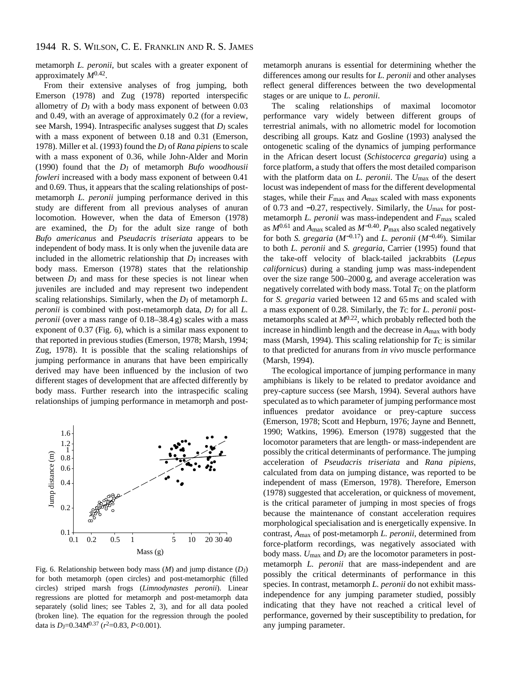metamorph *L. peronii*, but scales with a greater exponent of approximately *M*0.42.

From their extensive analyses of frog jumping, both Emerson (1978) and Zug (1978) reported interspecific allometry of *D*J with a body mass exponent of between 0.03 and 0.49, with an average of approximately 0.2 (for a review, see Marsh, 1994). Intraspecific analyses suggest that *D*J scales with a mass exponent of between 0.18 and 0.31 (Emerson, 1978). Miller et al. (1993) found the *D*<sub>J</sub> of *Rana pipiens* to scale with a mass exponent of 0.36, while John-Alder and Morin (1990) found that the *D*J of metamorph *Bufo woodhousii fowleri* increased with a body mass exponent of between 0.41 and 0.69. Thus, it appears that the scaling relationships of postmetamorph *L. peronii* jumping performance derived in this study are different from all previous analyses of anuran locomotion. However, when the data of Emerson (1978) are examined, the *D*<sub>J</sub> for the adult size range of both *Bufo americanus* and *Pseudacris triseriata* appears to be independent of body mass. It is only when the juvenile data are included in the allometric relationship that *D*<sub>J</sub> increases with body mass. Emerson (1978) states that the relationship between *D*<sub>J</sub> and mass for these species is not linear when juveniles are included and may represent two independent scaling relationships. Similarly, when the *D*<sub>J</sub> of metamorph *L*. *peronii* is combined with post-metamorph data,  $D_J$  for all *L*. *peronii* (over a mass range of 0.18–38.4 g) scales with a mass exponent of 0.37 (Fig. 6), which is a similar mass exponent to that reported in previous studies (Emerson, 1978; Marsh, 1994; Zug, 1978). It is possible that the scaling relationships of jumping performance in anurans that have been empirically derived may have been influenced by the inclusion of two different stages of development that are affected differently by body mass. Further research into the intraspecific scaling relationships of jumping performance in metamorph and post-



Fig. 6. Relationship between body mass (*M*) and jump distance (*D*<sub>J</sub>) for both metamorph (open circles) and post-metamorphic (filled circles) striped marsh frogs (*Limnodynastes peronii*). Linear regressions are plotted for metamorph and post-metamorph data separately (solid lines; see Tables 2, 3), and for all data pooled (broken line). The equation for the regression through the pooled data is  $D_J=0.34M^{0.37}$  ( $r^2=0.83$ ,  $P<0.001$ ).

metamorph anurans is essential for determining whether the differences among our results for *L. peronii* and other analyses reflect general differences between the two developmental stages or are unique to *L. peronii*.

The scaling relationships of maximal locomotor performance vary widely between different groups of terrestrial animals, with no allometric model for locomotion describing all groups. Katz and Gosline (1993) analysed the ontogenetic scaling of the dynamics of jumping performance in the African desert locust (*Schistocerca gregaria*) using a force platform, a study that offers the most detailed comparison with the platform data on *L. peronii*. The *U*max of the desert locust was independent of mass for the different developmental stages, while their *F*max and *A*max scaled with mass exponents of 0.73 and −0.27, respectively. Similarly, the *U*max for postmetamorph *L. peronii* was mass-independent and *F*max scaled as  $M^{0.61}$  and  $A_{\text{max}}$  scaled as  $M^{-0.40}$ .  $P_{\text{max}}$  also scaled negatively for both *S. gregaria* (*M*<sup>−</sup>0.17) and *L. peronii* (*M*<sup>−</sup>0.46). Similar to both *L. peronii* and *S. gregaria*, Carrier (1995) found that the take-off velocity of black-tailed jackrabbits (*Lepus californicus*) during a standing jump was mass-independent over the size range 500–2000 g, and average acceleration was negatively correlated with body mass. Total  $T_{\rm C}$  on the platform for *S. gregaria* varied between 12 and 65 ms and scaled with a mass exponent of 0.28. Similarly, the  $T_{\rm C}$  for *L. peronii* postmetamorphs scaled at  $M^{0.22}$ , which probably reflected both the increase in hindlimb length and the decrease in *A*max with body mass (Marsh, 1994). This scaling relationship for  $T<sub>C</sub>$  is similar to that predicted for anurans from *in vivo* muscle performance (Marsh, 1994).

The ecological importance of jumping performance in many amphibians is likely to be related to predator avoidance and prey-capture success (see Marsh, 1994). Several authors have speculated as to which parameter of jumping performance most influences predator avoidance or prey-capture success (Emerson, 1978; Scott and Hepburn, 1976; Jayne and Bennett, 1990; Watkins, 1996). Emerson (1978) suggested that the locomotor parameters that are length- or mass-independent are possibly the critical determinants of performance. The jumping acceleration of *Pseudacris triseriata* and *Rana pipiens*, calculated from data on jumping distance, was reported to be independent of mass (Emerson, 1978). Therefore, Emerson (1978) suggested that acceleration, or quickness of movement, is the critical parameter of jumping in most species of frogs because the maintenance of constant acceleration requires morphological specialisation and is energetically expensive. In contrast, *A*max of post-metamorph *L. peronii*, determined from force-platform recordings, was negatively associated with body mass. *U*max and *D*J are the locomotor parameters in postmetamorph *L. peronii* that are mass-independent and are possibly the critical determinants of performance in this species. In contrast, metamorph *L. peronii* do not exhibit massindependence for any jumping parameter studied, possibly indicating that they have not reached a critical level of performance, governed by their susceptibility to predation, for any jumping parameter.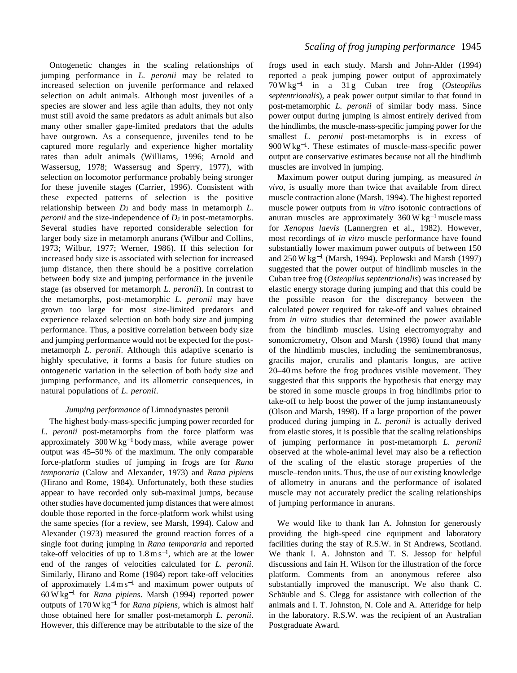Ontogenetic changes in the scaling relationships of jumping performance in *L. peronii* may be related to increased selection on juvenile performance and relaxed selection on adult animals. Although most juveniles of a species are slower and less agile than adults, they not only must still avoid the same predators as adult animals but also many other smaller gape-limited predators that the adults have outgrown. As a consequence, juveniles tend to be captured more regularly and experience higher mortality rates than adult animals (Williams, 1996; Arnold and Wassersug, 1978; Wassersug and Sperry, 1977), with selection on locomotor performance probably being stronger for these juvenile stages (Carrier, 1996). Consistent with these expected patterns of selection is the positive relationship between  $D_J$  and body mass in metamorph *L*. *peronii* and the size-independence of *D*<sub>J</sub> in post-metamorphs. Several studies have reported considerable selection for larger body size in metamorph anurans (Wilbur and Collins, 1973; Wilbur, 1977; Werner, 1986). If this selection for increased body size is associated with selection for increased jump distance, then there should be a positive correlation between body size and jumping performance in the juvenile stage (as observed for metamorph *L. peronii*). In contrast to the metamorphs, post-metamorphic *L. peronii* may have grown too large for most size-limited predators and experience relaxed selection on both body size and jumping performance. Thus, a positive correlation between body size and jumping performance would not be expected for the postmetamorph *L. peronii*. Although this adaptive scenario is highly speculative, it forms a basis for future studies on ontogenetic variation in the selection of both body size and jumping performance, and its allometric consequences, in natural populations of *L. peronii*.

## *Jumping performance of* Limnodynastes peronii

The highest body-mass-specific jumping power recorded for *L. peronii* post-metamorphs from the force platform was approximately  $300 \,\text{W kg}^{-1}$  body mass, while average power output was 45–50 % of the maximum. The only comparable force-platform studies of jumping in frogs are for *Rana temporaria* (Calow and Alexander, 1973) and *Rana pipiens* (Hirano and Rome, 1984). Unfortunately, both these studies appear to have recorded only sub-maximal jumps, because other studies have documented jump distances that were almost double those reported in the force-platform work whilst using the same species (for a review, see Marsh, 1994). Calow and Alexander (1973) measured the ground reaction forces of a single foot during jumping in *Rana temporaria* and reported take-off velocities of up to  $1.8 \text{ m s}^{-1}$ , which are at the lower end of the ranges of velocities calculated for *L. peronii*. Similarly, Hirano and Rome (1984) report take-off velocities of approximately  $1.4 \text{ m s}^{-1}$  and maximum power outputs of 60 W kg−<sup>1</sup> for *Rana pipiens*. Marsh (1994) reported power outputs of 170 W kg−<sup>1</sup> for *Rana pipiens*, which is almost half those obtained here for smaller post-metamorph *L. peronii*. However, this difference may be attributable to the size of the frogs used in each study. Marsh and John-Alder (1994) reported a peak jumping power output of approximately 70 W kg−<sup>1</sup> in a 31 g Cuban tree frog (*Osteopilus septentrionalis*), a peak power output similar to that found in post-metamorphic *L. peronii* of similar body mass. Since power output during jumping is almost entirely derived from the hindlimbs, the muscle-mass-specific jumping power for the smallest *L. peronii* post-metamorphs is in excess of 900 W kg<sup>-1</sup>. These estimates of muscle-mass-specific power output are conservative estimates because not all the hindlimb muscles are involved in jumping.

Maximum power output during jumping, as measured *in vivo*, is usually more than twice that available from direct muscle contraction alone (Marsh, 1994). The highest reported muscle power outputs from *in vitro* isotonic contractions of anuran muscles are approximately  $360 \text{ W kg}^{-1}$  muscle mass for *Xenopus laevis* (Lannergren et al., 1982). However, most recordings of *in vitro* muscle performance have found substantially lower maximum power outputs of between 150 and  $250 \text{ W kg}^{-1}$  (Marsh, 1994). Peplowski and Marsh (1997) suggested that the power output of hindlimb muscles in the Cuban tree frog (*Osteopilus septentrionalis*) was increased by elastic energy storage during jumping and that this could be the possible reason for the discrepancy between the calculated power required for take-off and values obtained from *in vitro* studies that determined the power available from the hindlimb muscles. Using electromyograhy and sonomicrometry, Olson and Marsh (1998) found that many of the hindlimb muscles, including the semimembranosus, gracilis major, cruralis and plantaris longus, are active 20–40 ms before the frog produces visible movement. They suggested that this supports the hypothesis that energy may be stored in some muscle groups in frog hindlimbs prior to take-off to help boost the power of the jump instantaneously (Olson and Marsh, 1998). If a large proportion of the power produced during jumping in *L. peronii* is actually derived from elastic stores, it is possible that the scaling relationships of jumping performance in post-metamorph *L. peronii* observed at the whole-animal level may also be a reflection of the scaling of the elastic storage properties of the muscle–tendon units. Thus, the use of our existing knowledge of allometry in anurans and the performance of isolated muscle may not accurately predict the scaling relationships of jumping performance in anurans.

We would like to thank Ian A. Johnston for generously providing the high-speed cine equipment and laboratory facilities during the stay of R.S.W. in St Andrews, Scotland. We thank I. A. Johnston and T. S. Jessop for helpful discussions and Iain H. Wilson for the illustration of the force platform. Comments from an anonymous referee also substantially improved the manuscript. We also thank C. Schäuble and S. Clegg for assistance with collection of the animals and I. T. Johnston, N. Cole and A. Atteridge for help in the laboratory. R.S.W. was the recipient of an Australian Postgraduate Award.